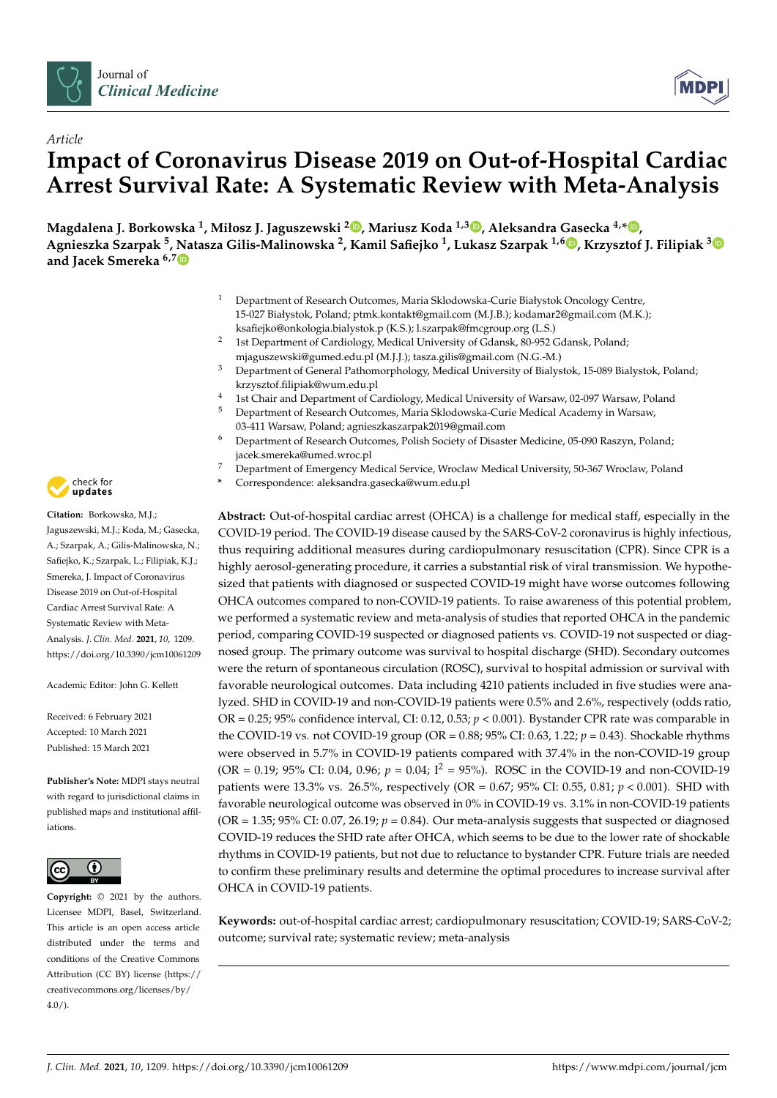



# *Article* **Impact of Coronavirus Disease 2019 on Out-of-Hospital Cardiac Arrest Survival Rate: A Systematic Review with Meta-Analysis**

**Magdalena J. Borkowska <sup>1</sup> , Miłosz J. Jaguszewski <sup>2</sup> [,](https://orcid.org/0000-0002-2555-593X) Mariusz Koda 1,3 [,](https://orcid.org/0000-0002-1678-567X) Aleksandra Gasecka 4,[\\*](https://orcid.org/0000-0001-5083-7587) , Agnieszka Szarpak <sup>5</sup> , Natasza Gilis-Malinowska <sup>2</sup> , Kamil Safiejko <sup>1</sup> , Lukasz Szarpak 1,6 [,](https://orcid.org/0000-0002-0973-5455) Krzysztof J. Filipiak [3](https://orcid.org/0000-0002-6563-0877) and Jacek Smereka 6,[7](https://orcid.org/0000-0002-1427-4796)**

- <sup>1</sup> Department of Research Outcomes, Maria Sklodowska-Curie Białystok Oncology Centre, 15-027 Białystok, Poland; ptmk.kontakt@gmail.com (M.J.B.); kodamar2@gmail.com (M.K.); ksafiejko@onkologia.bialystok.p (K.S.); l.szarpak@fmcgroup.org (L.S.)
- <sup>2</sup> 1st Department of Cardiology, Medical University of Gdansk, 80-952 Gdansk, Poland; mjaguszewski@gumed.edu.pl (M.J.J.); tasza.gilis@gmail.com (N.G.-M.)
- <sup>3</sup> Department of General Pathomorphology, Medical University of Bialystok, 15-089 Bialystok, Poland; krzysztof.filipiak@wum.edu.pl
- <sup>4</sup> 1st Chair and Department of Cardiology, Medical University of Warsaw, 02-097 Warsaw, Poland<br><sup>5</sup> Department of Passauch Outseau a Marie Chladengla Curie Madical Asadema in Warsaw
- <sup>5</sup> Department of Research Outcomes, Maria Sklodowska-Curie Medical Academy in Warsaw, 03-411 Warsaw, Poland; agnieszkaszarpak2019@gmail.com
- <sup>6</sup> Department of Research Outcomes, Polish Society of Disaster Medicine, 05-090 Raszyn, Poland; jacek.smereka@umed.wroc.pl
- <sup>7</sup> Department of Emergency Medical Service, Wroclaw Medical University, 50-367 Wroclaw, Poland
- **\*** Correspondence: aleksandra.gasecka@wum.edu.pl

**Abstract:** Out-of-hospital cardiac arrest (OHCA) is a challenge for medical staff, especially in the COVID-19 period. The COVID-19 disease caused by the SARS-CoV-2 coronavirus is highly infectious, thus requiring additional measures during cardiopulmonary resuscitation (CPR). Since CPR is a highly aerosol-generating procedure, it carries a substantial risk of viral transmission. We hypothesized that patients with diagnosed or suspected COVID-19 might have worse outcomes following OHCA outcomes compared to non-COVID-19 patients. To raise awareness of this potential problem, we performed a systematic review and meta-analysis of studies that reported OHCA in the pandemic period, comparing COVID-19 suspected or diagnosed patients vs. COVID-19 not suspected or diagnosed group. The primary outcome was survival to hospital discharge (SHD). Secondary outcomes were the return of spontaneous circulation (ROSC), survival to hospital admission or survival with favorable neurological outcomes. Data including 4210 patients included in five studies were analyzed. SHD in COVID-19 and non-COVID-19 patients were 0.5% and 2.6%, respectively (odds ratio, OR = 0.25; 95% confidence interval, CI: 0.12, 0.53; *p* < 0.001). Bystander CPR rate was comparable in the COVID-19 vs. not COVID-19 group (OR = 0.88; 95% CI: 0.63, 1.22; *p* = 0.43). Shockable rhythms were observed in 5.7% in COVID-19 patients compared with 37.4% in the non-COVID-19 group (OR = 0.19; 95% CI: 0.04, 0.96; *p* = 0.04; I<sup>2</sup> = 95%). ROSC in the COVID-19 and non-COVID-19 patients were 13.3% vs. 26.5%, respectively (OR = 0.67; 95% CI: 0.55, 0.81; *p* < 0.001). SHD with favorable neurological outcome was observed in 0% in COVID-19 vs. 3.1% in non-COVID-19 patients  $(OR = 1.35; 95\% CI: 0.07, 26.19; p = 0.84)$ . Our meta-analysis suggests that suspected or diagnosed COVID-19 reduces the SHD rate after OHCA, which seems to be due to the lower rate of shockable rhythms in COVID-19 patients, but not due to reluctance to bystander CPR. Future trials are needed to confirm these preliminary results and determine the optimal procedures to increase survival after OHCA in COVID-19 patients.

**Keywords:** out-of-hospital cardiac arrest; cardiopulmonary resuscitation; COVID-19; SARS-CoV-2; outcome; survival rate; systematic review; meta-analysis



**Citation:** Borkowska, M.J.; Jaguszewski, M.J.; Koda, M.; Gasecka, A.; Szarpak, A.; Gilis-Malinowska, N.; Safiejko, K.; Szarpak, L.; Filipiak, K.J.; Smereka, J. Impact of Coronavirus Disease 2019 on Out-of-Hospital Cardiac Arrest Survival Rate: A Systematic Review with Meta-Analysis. *J. Clin. Med.* **2021**, *10*, 1209. <https://doi.org/10.3390/jcm10061209>

Academic Editor: John G. Kellett

Received: 6 February 2021 Accepted: 10 March 2021 Published: 15 March 2021

**Publisher's Note:** MDPI stays neutral with regard to jurisdictional claims in published maps and institutional affiliations.



**Copyright:** © 2021 by the authors. Licensee MDPI, Basel, Switzerland. This article is an open access article distributed under the terms and conditions of the Creative Commons Attribution (CC BY) license (https:/[/](https://creativecommons.org/licenses/by/4.0/) [creativecommons.org/licenses/by/](https://creativecommons.org/licenses/by/4.0/)  $4.0/$ ).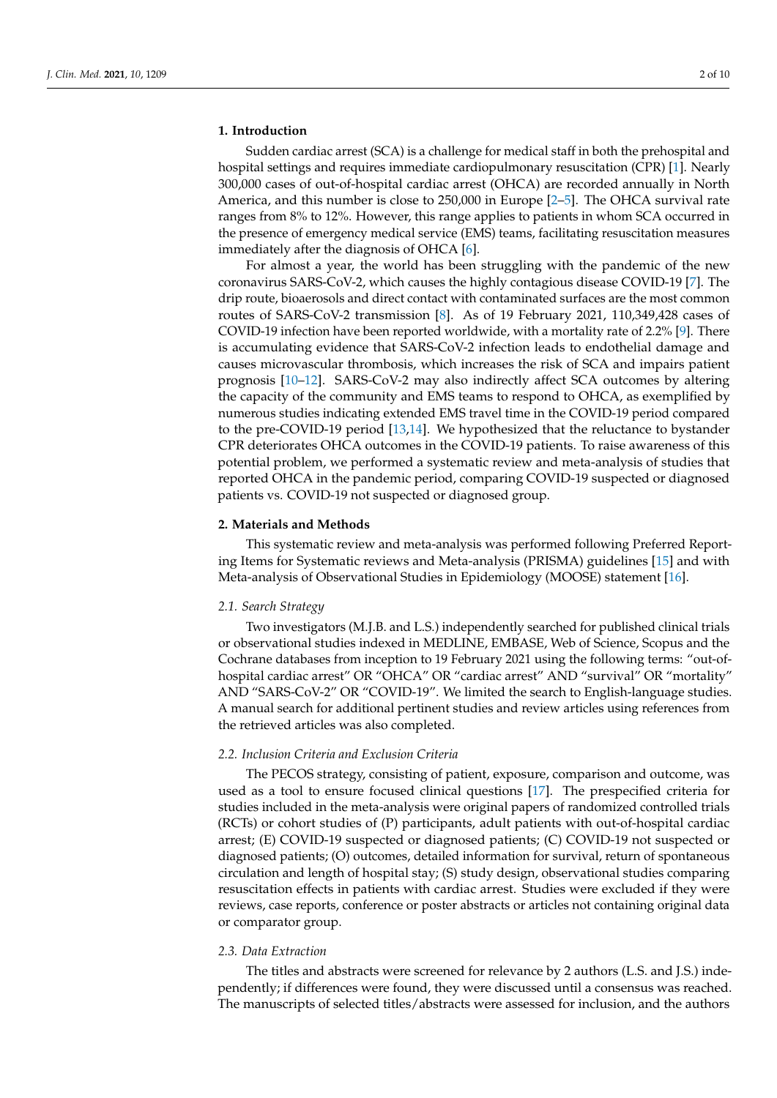#### **1. Introduction**

Sudden cardiac arrest (SCA) is a challenge for medical staff in both the prehospital and hospital settings and requires immediate cardiopulmonary resuscitation (CPR) [\[1\]](#page-7-0). Nearly 300,000 cases of out-of-hospital cardiac arrest (OHCA) are recorded annually in North America, and this number is close to 250,000 in Europe [\[2–](#page-7-1)[5\]](#page-7-2). The OHCA survival rate ranges from 8% to 12%. However, this range applies to patients in whom SCA occurred in the presence of emergency medical service (EMS) teams, facilitating resuscitation measures immediately after the diagnosis of OHCA [\[6\]](#page-7-3).

For almost a year, the world has been struggling with the pandemic of the new coronavirus SARS-CoV-2, which causes the highly contagious disease COVID-19 [\[7\]](#page-7-4). The drip route, bioaerosols and direct contact with contaminated surfaces are the most common routes of SARS-CoV-2 transmission [\[8\]](#page-7-5). As of 19 February 2021, 110,349,428 cases of COVID-19 infection have been reported worldwide, with a mortality rate of 2.2% [\[9\]](#page-8-0). There is accumulating evidence that SARS-CoV-2 infection leads to endothelial damage and causes microvascular thrombosis, which increases the risk of SCA and impairs patient prognosis [\[10](#page-8-1)[–12\]](#page-8-2). SARS-CoV-2 may also indirectly affect SCA outcomes by altering the capacity of the community and EMS teams to respond to OHCA, as exemplified by numerous studies indicating extended EMS travel time in the COVID-19 period compared to the pre-COVID-19 period [\[13,](#page-8-3)[14\]](#page-8-4). We hypothesized that the reluctance to bystander CPR deteriorates OHCA outcomes in the COVID-19 patients. To raise awareness of this potential problem, we performed a systematic review and meta-analysis of studies that reported OHCA in the pandemic period, comparing COVID-19 suspected or diagnosed patients vs. COVID-19 not suspected or diagnosed group.

#### **2. Materials and Methods**

This systematic review and meta-analysis was performed following Preferred Reporting Items for Systematic reviews and Meta-analysis (PRISMA) guidelines [\[15\]](#page-8-5) and with Meta-analysis of Observational Studies in Epidemiology (MOOSE) statement [\[16\]](#page-8-6).

#### *2.1. Search Strategy*

Two investigators (M.J.B. and L.S.) independently searched for published clinical trials or observational studies indexed in MEDLINE, EMBASE, Web of Science, Scopus and the Cochrane databases from inception to 19 February 2021 using the following terms: "out-ofhospital cardiac arrest" OR "OHCA" OR "cardiac arrest" AND "survival" OR "mortality" AND "SARS-CoV-2" OR "COVID-19". We limited the search to English-language studies. A manual search for additional pertinent studies and review articles using references from the retrieved articles was also completed.

#### *2.2. Inclusion Criteria and Exclusion Criteria*

The PECOS strategy, consisting of patient, exposure, comparison and outcome, was used as a tool to ensure focused clinical questions [\[17\]](#page-8-7). The prespecified criteria for studies included in the meta-analysis were original papers of randomized controlled trials (RCTs) or cohort studies of (P) participants, adult patients with out-of-hospital cardiac arrest; (E) COVID-19 suspected or diagnosed patients; (C) COVID-19 not suspected or diagnosed patients; (O) outcomes, detailed information for survival, return of spontaneous circulation and length of hospital stay; (S) study design, observational studies comparing resuscitation effects in patients with cardiac arrest. Studies were excluded if they were reviews, case reports, conference or poster abstracts or articles not containing original data or comparator group.

#### *2.3. Data Extraction*

The titles and abstracts were screened for relevance by 2 authors (L.S. and J.S.) independently; if differences were found, they were discussed until a consensus was reached. The manuscripts of selected titles/abstracts were assessed for inclusion, and the authors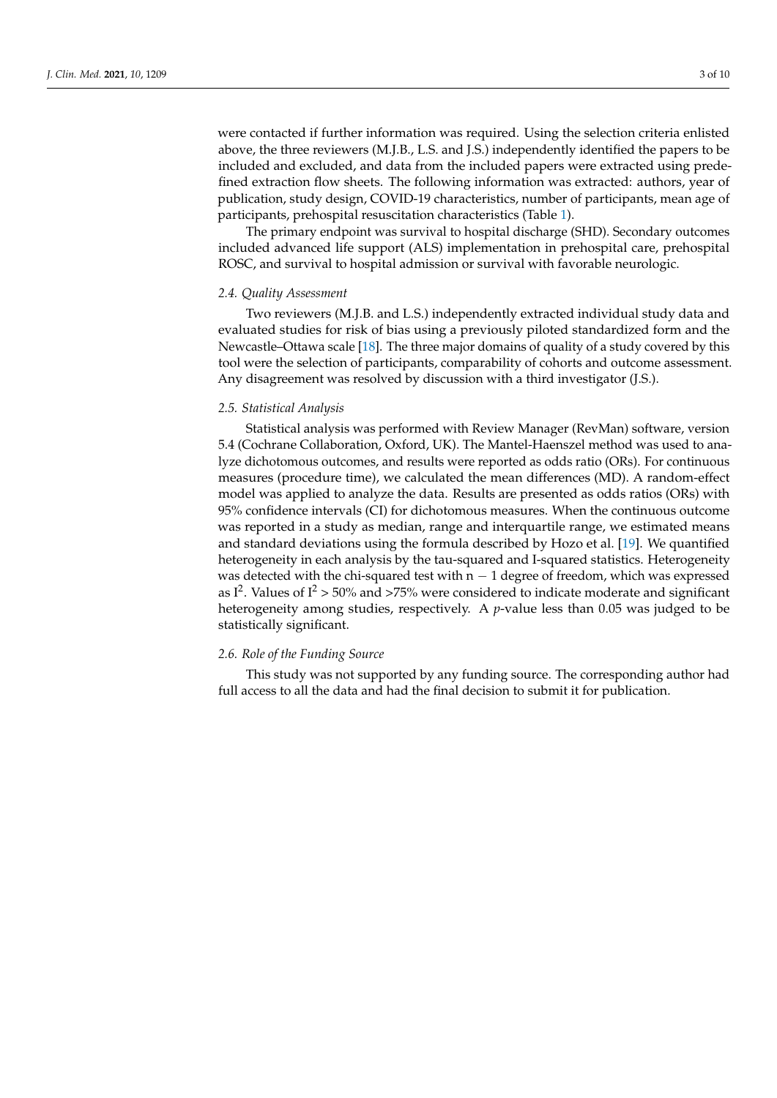were contacted if further information was required. Using the selection criteria enlisted above, the three reviewers (M.J.B., L.S. and J.S.) independently identified the papers to be included and excluded, and data from the included papers were extracted using predefined extraction flow sheets. The following information was extracted: authors, year of publication, study design, COVID-19 characteristics, number of participants, mean age of participants, prehospital resuscitation characteristics (Table [1\)](#page-3-0).

The primary endpoint was survival to hospital discharge (SHD). Secondary outcomes included advanced life support (ALS) implementation in prehospital care, prehospital ROSC, and survival to hospital admission or survival with favorable neurologic.

#### *2.4. Quality Assessment*

Two reviewers (M.J.B. and L.S.) independently extracted individual study data and evaluated studies for risk of bias using a previously piloted standardized form and the Newcastle–Ottawa scale [\[18\]](#page-8-8). The three major domains of quality of a study covered by this tool were the selection of participants, comparability of cohorts and outcome assessment. Any disagreement was resolved by discussion with a third investigator (J.S.).

#### *2.5. Statistical Analysis*

Statistical analysis was performed with Review Manager (RevMan) software, version 5.4 (Cochrane Collaboration, Oxford, UK). The Mantel-Haenszel method was used to analyze dichotomous outcomes, and results were reported as odds ratio (ORs). For continuous measures (procedure time), we calculated the mean differences (MD). A random-effect model was applied to analyze the data. Results are presented as odds ratios (ORs) with 95% confidence intervals (CI) for dichotomous measures. When the continuous outcome was reported in a study as median, range and interquartile range, we estimated means and standard deviations using the formula described by Hozo et al. [\[19\]](#page-8-9). We quantified heterogeneity in each analysis by the tau-squared and I-squared statistics. Heterogeneity was detected with the chi-squared test with  $n - 1$  degree of freedom, which was expressed as I<sup>2</sup>. Values of I<sup>2</sup> > 50% and >75% were considered to indicate moderate and significant heterogeneity among studies, respectively. A *p*-value less than 0.05 was judged to be statistically significant.

### *2.6. Role of the Funding Source*

This study was not supported by any funding source. The corresponding author had full access to all the data and had the final decision to submit it for publication.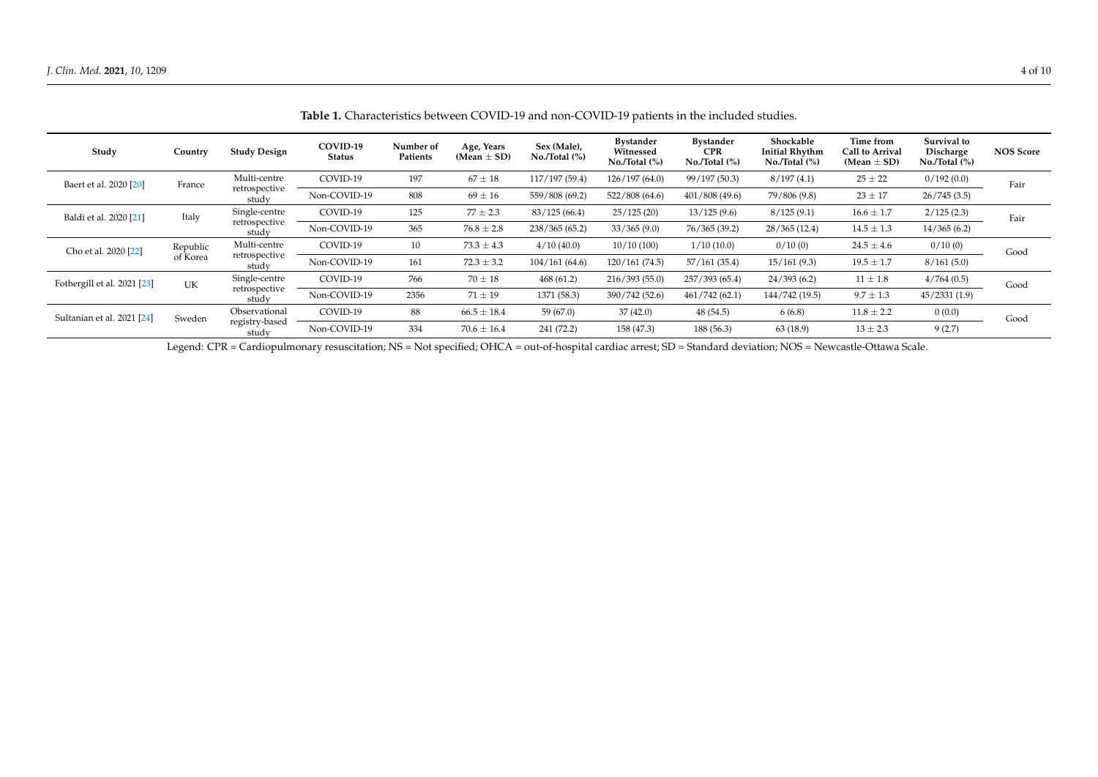| Study                       | Country              | <b>Study Design</b>                     | COVID-19<br><b>Status</b> | Number of<br>Patients | Age, Years<br>(Mean $\pm$ SD) | Sex (Male),<br>No. <sub>/Total</sub> (%) | Bystander<br>Witnessed<br>$No./Total$ (%) | <b>Bystander</b><br><b>CPR</b><br>$No./Total$ (%) | Shockable<br><b>Initial Rhythm</b><br>$No./Total$ (%) | Time from<br>Call to Arrival<br>(Mean $\pm$ SD) | Survival to<br>Discharge<br>$No./Total$ (%) | <b>NOS Score</b> |
|-----------------------------|----------------------|-----------------------------------------|---------------------------|-----------------------|-------------------------------|------------------------------------------|-------------------------------------------|---------------------------------------------------|-------------------------------------------------------|-------------------------------------------------|---------------------------------------------|------------------|
| Baert et al. 2020 [20]      | France               | Multi-centre<br>retrospective<br>study  | COVID-19                  | 197                   | $67 \pm 18$                   | 117/197 (59.4)                           | 126/197(64.0)                             | 99/197 (50.3)                                     | 8/197(4.1)                                            | $25 \pm 22$                                     | 0/192(0.0)                                  | Fair             |
|                             |                      |                                         | Non-COVID-19              | 808                   | $69 \pm 16$                   | 559/808 (69.2)                           | 522/808(64.6)                             | 401/808(49.6)                                     | 79/806 (9.8)                                          | $23 \pm 17$                                     | 26/745(3.5)                                 |                  |
| Baldi et al. 2020 [21]      | Italy                | Single-centre<br>retrospective<br>study | COVID-19                  | 125                   | $77 \pm 2.3$                  | 83/125(66.4)                             | 25/125(20)                                | 13/125(9.6)                                       | 8/125(9.1)                                            | $16.6 \pm 1.7$                                  | 2/125(2.3)                                  | Fair             |
|                             |                      |                                         | Non-COVID-19              | 365                   | $76.8 \pm 2.8$                | 238/365(65.2)                            | 33/365(9.0)                               | 76/365 (39.2)                                     | 28/365(12.4)                                          | $14.5 \pm 1.3$                                  | 14/365(6.2)                                 |                  |
| Cho et al. 2020 [22]        | Republic<br>of Korea | Multi-centre<br>retrospective<br>study  | COVID-19                  | 10                    | $73.3 \pm 4.3$                | 4/10(40.0)                               | 10/10(100)                                | 1/10(10.0)                                        | 0/10(0)                                               | $24.5 \pm 4.6$                                  | 0/10(0)                                     | Good             |
|                             |                      |                                         | Non-COVID-19              | 161                   | $72.3 \pm 3.2$                | 104/161(64.6)                            | 120/161(74.5)                             | 57/161(35.4)                                      | 15/161(9.3)                                           | $19.5 \pm 1.7$                                  | 8/161(5.0)                                  |                  |
| Fothergill et al. 2021 [23] | UK                   | Single-centre                           | COVID-19                  | 766                   | $70 \pm 18$                   | 468(61.2)                                | 216/393(55.0)                             | 257/393 (65.4)                                    | 24/393(6.2)                                           | $11 \pm 1.8$                                    | 4/764(0.5)                                  | Good             |
|                             |                      | retrospective<br>study                  | Non-COVID-19              | 2356                  | $71 \pm 19$                   | 1371 (58.3)                              | 390/742 (52.6)                            | 461/742(62.1)                                     | 144/742 (19.5)                                        | $9.7 \pm 1.3$                                   | 45/2331(1.9)                                |                  |
| Sultanian et al. 2021 [24]  | Sweden               | Observational                           | COVID-19                  | 88                    | $66.5 \pm 18.4$               | 59(67.0)                                 | 37(42.0)                                  | 48(54.5)                                          | 6(6.8)                                                | $11.8 \pm 2.2$                                  | 0(0.0)                                      | Good             |
|                             |                      |                                         | registry-based<br>study   | Non-COVID-19          | 334                           | $70.6 \pm 16.4$                          | 241 (72.2)                                | 158(47.3)                                         | 188(56.3)                                             | 63 (18.9)                                       | $13 \pm 2.3$                                | 9(2.7)           |

**Table 1.** Characteristics between COVID-19 and non-COVID-19 patients in the included studies.

<span id="page-3-0"></span>Legend: CPR = Cardiopulmonary resuscitation; NS = Not specified; OHCA = out-of-hospital cardiac arrest; SD = Standard deviation; NOS = Newcastle-Ottawa Scale.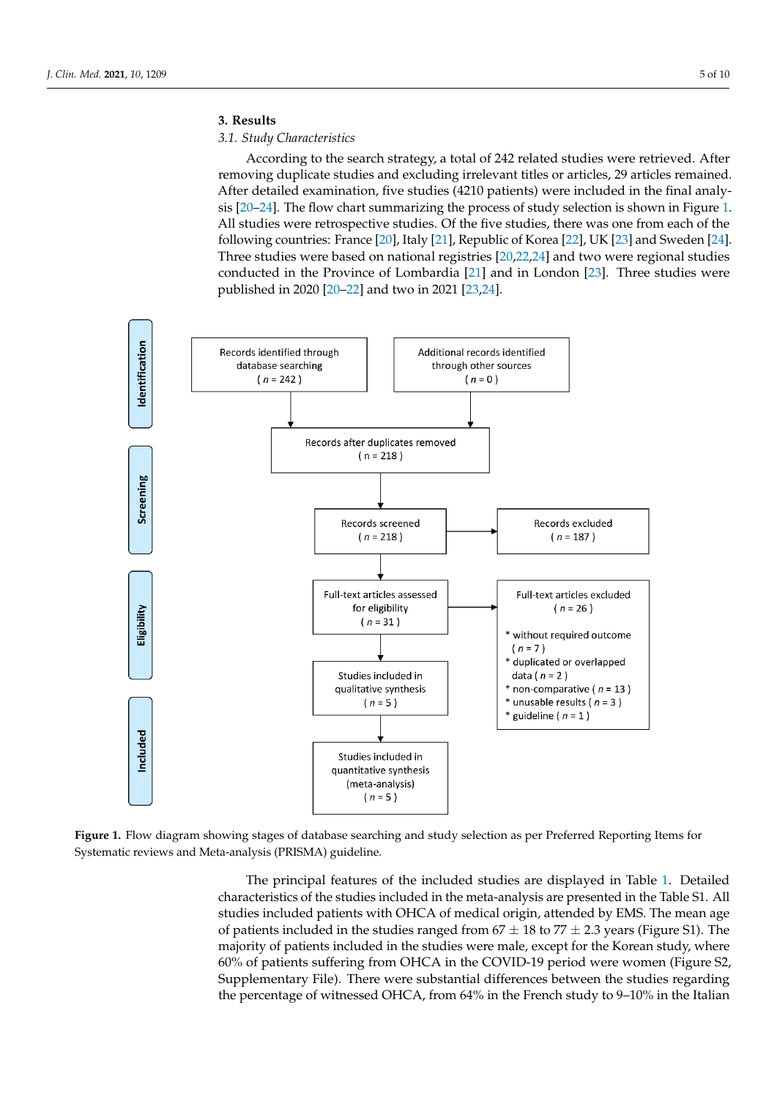#### **3. Results 3. Results**

## *3.1. Study Characteristics 3.1. Study Characteristics*

According to the search strategy, a total of 242 related studies were retrieved. After According to the search strategy, a total of 242 related studies were retrieved. After removing duplicate studies and excluding irrelevant titles or articles, 29 articles remained. removing duplicate studies and excluding irrelevant titles or articles, 29 articles remained. After detailed examination, five studies (4210 patients) were included in the final analysis [\[20–](#page-8-15)[24\]](#page-8-16). The flow chart summarizing the process of study selection is shown in Figure [1.](#page-4-0) [20–24]. The flow chart summarizing the process of study selection is shown in Figure 1. All studies were retrospective studies. Of the five studies, there was one from each of the  $\sim$ following countries: France [\[20\]](#page-8-15), Italy [\[21\]](#page-8-17), Republic of Korea [\[22\]](#page-8-18), UK [\[23\]](#page-8-19) and Sweden [\[24\]](#page-8-16). Three studies were based on national registries  $[20,22,24]$  $[20,22,24]$  $[20,22,24]$  and two were regional studies conducted in the Province of Lombardia  $[21]$  and in London  $[23]$ . Three studies were published in 2020 [\[20–](#page-8-15)[22\]](#page-8-18) and two in 2021 [\[23](#page-8-19)[,24\]](#page-8-16). were published in 2020 [20–22] and two in 2021 [23,24].

full access to all the data and had the final decision to submit it for publication.

<span id="page-4-0"></span>

Figure 1. Flow diagram showing stages of database searching and study selection as per Preferred Reporting Items for Systematic reviews and Meta-analysis (PRISMA) guideline. Systematic reviews and Meta-analysis (PRISMA) guideline.

The principal features of the included studies are displayed in Table 1. D[et](#page-3-0)ailed acteristics of the studies included in the meta-analysis are presented in the Table S1. All characteristics of the studies included in the meta-analysis are presented in the Table S1. All studies included patients with OHCA of medical origin, attended by EMS. The mean age studies included patients with OHCA of medical origin, attended by EMS. The mean age of patients included in the studies ranged from  $67 \pm 18$  to  $77 \pm 2.3$  years (Figure S1). The majority of patients included in the studies were male, except for the Korean study, where 60% of patients suffering from OHCA in the COVID-19 period were women (Figure S2, Supplementary File). There were substantial differences between the studies regarding the percentage of witnessed OHCA, from 64% in the French study to 9–10% in the Italian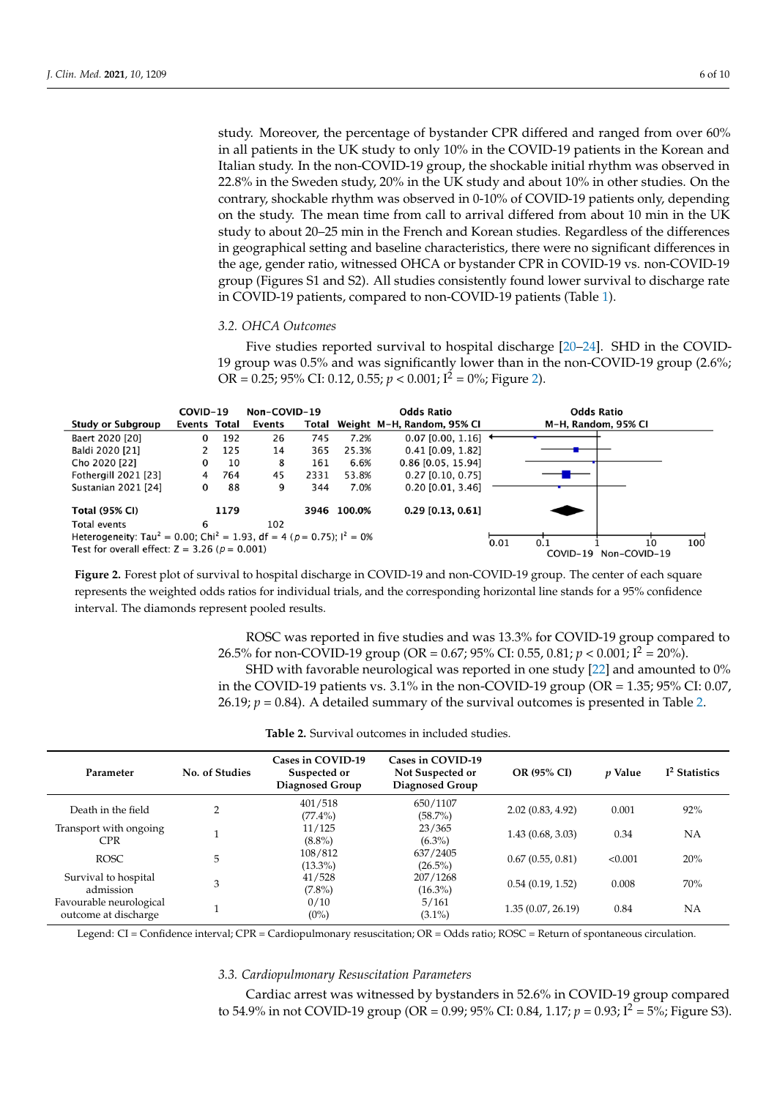study. Moreover, the percentage of bystander CPR differed and ranged from over 60% in all patients in the UK study to only 10% in the COVID-19 patients in the Korean and Italian study. In the non-COVID-19 group, the shockable initial rhythm was observed in 22.8% in the Sweden study, 20% in the UK study and about 10% in other studies. On the contrary, shockable rhythm was observed in 0-10% of COVID-19 patients only, depending on the study. The mean time from call to arrival differed from about 10 min in the UK the study to about 20–25 min in the French and Korean studies. Regardless of the differences If they are the state of the first the French and French states. Regardless of the differences in geographical setting and baseline characteristics, there were no significant differences in In geographical setting and suscitive characteristics, there were no significant differences in the age, gender ratio, witnessed OHCA or bystander CPR in COVID-19 vs. non-COVID-19 are age, gender ratio, witnessed OHCA or bystander CPR in COVID-19 vs. non-COVID-19 group (Figures S1 and S2). All studies consistently found lower survival to discharge rate in COVID-19 patients, compared to non-COVID-19 patients (Table [1\)](#page-3-0). rate in COVID-19 patients, compared to non-COVID-19 patients (Table 1).  $190 \mu$  group (Figures S1 and S2). All studies consistently found to wer survival to discharge to  $60 \mu$ 

#### *3.2. OHCA Outcomes 3.2. OHCA Outcomes*

Five studies reported survival to hospital discharge [\[20–](#page-8-15)[24\]](#page-8-16). SHD in the COVID-19 group was 0.5% and was significantly lower than in the non-COVID-19 group (2.6%; Five studies reported survival to hospital discharge [20–24]. SHD in the COVID-19 OR = 0.25; 95% CI: 0.12, 0.55;  $p < 0.001$ ; I<sup>2</sup> = 0%; Figure [2\)](#page-5-0).  $\frac{1}{2}$  group was 0.5% and was significantly lower than in the non-COVID-19 group (2.6%; OR  $\frac{1}{2}$ )

<span id="page-5-0"></span>

|                                                                                                            | COVID-19 |        | Non-COVID-19 |                            |             | <b>Odds Ratio</b>                 | <b>Odds Ratio</b> |          |              |  |
|------------------------------------------------------------------------------------------------------------|----------|--------|--------------|----------------------------|-------------|-----------------------------------|-------------------|----------|--------------|--|
| <b>Study or Subgroup</b><br>Events Total                                                                   |          | Events | Total        | Weight M-H, Random, 95% CI |             |                                   |                   |          |              |  |
| Baert 2020 [20]                                                                                            | $\Omega$ | 192    | 26           | 745                        | 7.2%        | $0.07$ [0.00, 1.16] $\rightarrow$ |                   |          |              |  |
| Baldi 2020 [21]                                                                                            |          | 125    | 14           | 365                        | 25.3%       | $0.41$ [0.09, 1.82]               |                   |          |              |  |
| Cho 2020 [22]                                                                                              | 0        | 10     | 8            | 161                        | 6.6%        | $0.86$ [0.05, 15.94]              |                   |          |              |  |
| Fothergill 2021 [23]                                                                                       | 4        | 764    | 45           | 2331                       | 53.8%       | $0.27$ [0.10, 0.75]               |                   |          |              |  |
| Sustanian 2021 [24]                                                                                        | 0        | 88     | 9            | 344                        | 7.0%        | $0.20$ [0.01, 3.46]               |                   |          |              |  |
| <b>Total (95% CI)</b>                                                                                      |          | 1179   |              |                            | 3946 100.0% | $0.29$ [0.13, 0.61]               |                   |          |              |  |
| Total events                                                                                               | 6        |        | 102          |                            |             |                                   |                   |          |              |  |
| Heterogeneity: Tau <sup>2</sup> = 0.00; Chi <sup>2</sup> = 1.93, df = 4 ( $p$ = 0.75); l <sup>2</sup> = 0% |          |        |              |                            |             | 0.01                              |                   | 10       | 100          |  |
| Test for overall effect: $Z = 3.26$ ( $p = 0.001$ )                                                        |          |        |              |                            |             |                                   |                   | COVID-19 | Non-COVID-19 |  |

Figure 2. Forest plot of survival to hospital discharge in COVID-19 and non-COVID-19 group. The center of each square represents the weighted odds ratios for individual trials, and the corresponding horizontal line stands for a 95% confidence interval. The diamonds represent pooled results. interval. The diamonds represent pooled results.

> ROSC was reported in five studies and was 13.3% for COVID-19 group compared to ROSC was reported in five studies and was 13.3% for COVID-19 group compared to 26.5% for non-COVID-19 group (OR = 0.67; 95% CI: 0.55, 0.81; *p* < 0.001; I2 = 20%). 26.5% for non-COVID-19 group (OR = 0.67; 95% CI: 0.55, 0.81; *p* < 0.001; I<sup>2</sup> = 20%). SHD with favorable neurological was reported in one study [22] and amounted to SHD with favorable neurological was reported in one study [\[22\]](#page-8-18) and amounted to 0%  $\sim 0.00 \times 10^{10}$  in the non-COVID-19 group (OR = 1.35; 95% CI: 0) in the COVID-19 patients vs. 3.1% in the non-COVID-19 group (OR = 1.35; 95% CI: 0.07,  $26.19 \times 10^{14}$  and the lattice survey of the survival anticomes is associated in Table 2. 2. 26.19; *p* = 0.84). A detailed summary of the survival outcomes is presented in Table [2.](#page-5-1)

|  |  |  | <b>Table 2.</b> Survival outcomes in included studies. |  |  |  |  |  |  |  |  |  |
|--|--|--|--------------------------------------------------------|--|--|--|--|--|--|--|--|--|
|--|--|--|--------------------------------------------------------|--|--|--|--|--|--|--|--|--|

<span id="page-5-1"></span>

| Parameter                                       | No. of Studies | Cases in COVID-19<br>Suspected or<br>Diagnosed Group | Cases in COVID-19<br>Not Suspected or<br>Diagnosed Group | <b>OR (95% CI)</b> | <i>v</i> Value | I <sup>2</sup> Statistics |
|-------------------------------------------------|----------------|------------------------------------------------------|----------------------------------------------------------|--------------------|----------------|---------------------------|
| Death in the field                              | $\overline{2}$ | 401/518<br>$(77.4\%)$                                | 650/1107<br>$(58.7\%)$                                   | 2.02(0.83, 4.92)   | 0.001          | 92%                       |
| Transport with ongoing<br><b>CPR</b>            |                | 11/125<br>$(8.8\%)$                                  | 23/365<br>$(6.3\%)$                                      | 1.43(0.68, 3.03)   | 0.34           | <b>NA</b>                 |
| <b>ROSC</b>                                     | 5              | 108/812<br>$(13.3\%)$                                | 637/2405<br>$(26.5\%)$                                   | 0.67(0.55, 0.81)   | < 0.001        | 20%                       |
| Survival to hospital<br>admission               | 3              | 41/528<br>$(7.8\%)$                                  | 207/1268<br>$(16.3\%)$                                   | 0.54(0.19, 1.52)   | 0.008          | 70%                       |
| Favourable neurological<br>outcome at discharge |                | 0/10<br>$(0\%)$                                      | 5/161<br>$(3.1\%)$                                       | 1.35(0.07, 26.19)  | 0.84           | <b>NA</b>                 |

Legend: CI = Confidence interval; CPR = Cardiopulmonary resuscitation; OR = Odds ratio; ROSC = Return of spontaneous circulation.

#### *3.3. Cardiopulmonary Resuscitation Parameters*

Cardiac arrest was witnessed by bystanders in 52.6% in COVID-19 group compared to 54.9% in not COVID-19 group (OR = 0.99; 95% CI: 0.84, 1.17;  $p = 0.93$ ;  $I^2 = 5\%$ ; Figure S3).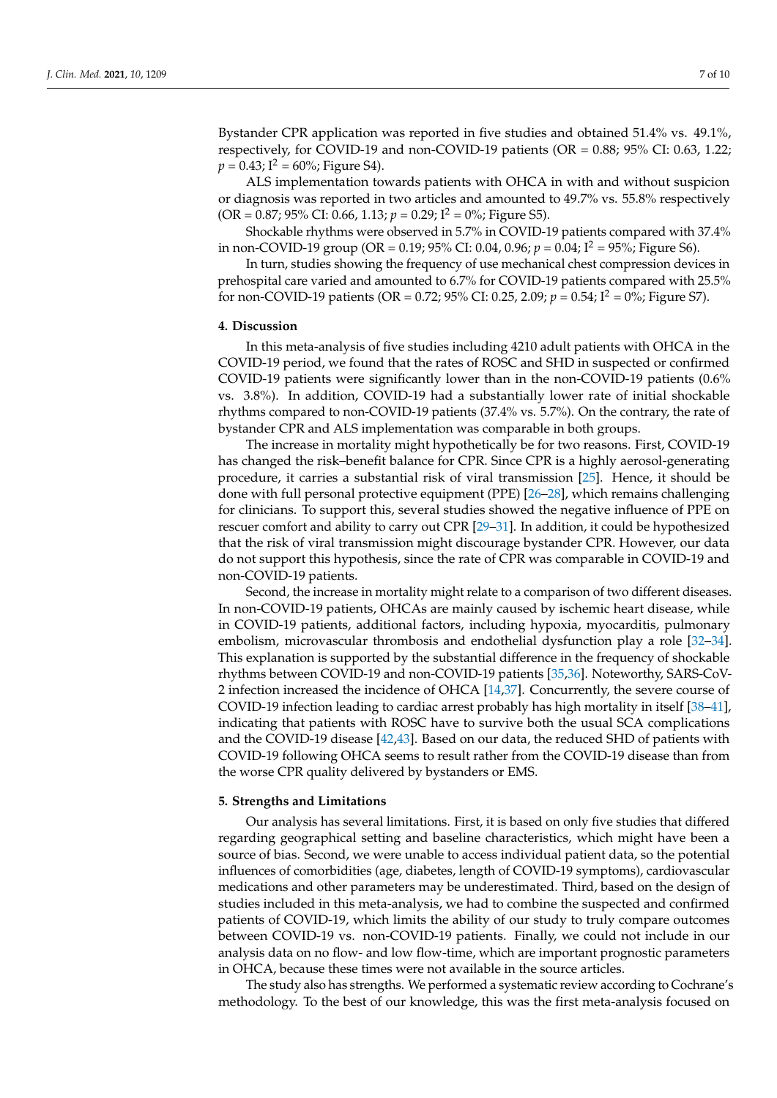Bystander CPR application was reported in five studies and obtained 51.4% vs. 49.1%, respectively, for COVID-19 and non-COVID-19 patients (OR = 0.88; 95% CI: 0.63, 1.22;  $p = 0.43$ ;  $I^2 = 60\%$ ; Figure S4).

ALS implementation towards patients with OHCA in with and without suspicion or diagnosis was reported in two articles and amounted to 49.7% vs. 55.8% respectively  $(OR = 0.87; 95\% CI: 0.66, 1.13; p = 0.29; I<sup>2</sup> = 0\%; Figure S5).$ 

Shockable rhythms were observed in 5.7% in COVID-19 patients compared with 37.4% in non-COVID-19 group (OR = 0.19; 95% CI: 0.04, 0.96;  $p = 0.04$ ;  $I^2 = 95\%$ ; Figure S6).

In turn, studies showing the frequency of use mechanical chest compression devices in prehospital care varied and amounted to 6.7% for COVID-19 patients compared with 25.5% for non-COVID-19 patients (OR = 0.72; 95% CI: 0.25, 2.09;  $p = 0.54$ ;  $I^2 = 0\%$ ; Figure S7).

#### **4. Discussion**

In this meta-analysis of five studies including 4210 adult patients with OHCA in the COVID-19 period, we found that the rates of ROSC and SHD in suspected or confirmed COVID-19 patients were significantly lower than in the non-COVID-19 patients (0.6% vs. 3.8%). In addition, COVID-19 had a substantially lower rate of initial shockable rhythms compared to non-COVID-19 patients (37.4% vs. 5.7%). On the contrary, the rate of bystander CPR and ALS implementation was comparable in both groups.

The increase in mortality might hypothetically be for two reasons. First, COVID-19 has changed the risk–benefit balance for CPR. Since CPR is a highly aerosol-generating procedure, it carries a substantial risk of viral transmission [\[25\]](#page-8-20). Hence, it should be done with full personal protective equipment (PPE) [\[26–](#page-8-21)[28\]](#page-8-22), which remains challenging for clinicians. To support this, several studies showed the negative influence of PPE on rescuer comfort and ability to carry out CPR [\[29](#page-8-23)[–31\]](#page-9-0). In addition, it could be hypothesized that the risk of viral transmission might discourage bystander CPR. However, our data do not support this hypothesis, since the rate of CPR was comparable in COVID-19 and non-COVID-19 patients.

Second, the increase in mortality might relate to a comparison of two different diseases. In non-COVID-19 patients, OHCAs are mainly caused by ischemic heart disease, while in COVID-19 patients, additional factors, including hypoxia, myocarditis, pulmonary embolism, microvascular thrombosis and endothelial dysfunction play a role [\[32](#page-9-1)[–34\]](#page-9-2). This explanation is supported by the substantial difference in the frequency of shockable rhythms between COVID-19 and non-COVID-19 patients [\[35](#page-9-3)[,36\]](#page-9-4). Noteworthy, SARS-CoV-2 infection increased the incidence of OHCA [\[14](#page-8-4)[,37\]](#page-9-5). Concurrently, the severe course of COVID-19 infection leading to cardiac arrest probably has high mortality in itself [\[38–](#page-9-6)[41\]](#page-9-7), indicating that patients with ROSC have to survive both the usual SCA complications and the COVID-19 disease [\[42](#page-9-8)[,43\]](#page-9-9). Based on our data, the reduced SHD of patients with COVID-19 following OHCA seems to result rather from the COVID-19 disease than from the worse CPR quality delivered by bystanders or EMS.

#### **5. Strengths and Limitations**

Our analysis has several limitations. First, it is based on only five studies that differed regarding geographical setting and baseline characteristics, which might have been a source of bias. Second, we were unable to access individual patient data, so the potential influences of comorbidities (age, diabetes, length of COVID-19 symptoms), cardiovascular medications and other parameters may be underestimated. Third, based on the design of studies included in this meta-analysis, we had to combine the suspected and confirmed patients of COVID-19, which limits the ability of our study to truly compare outcomes between COVID-19 vs. non-COVID-19 patients. Finally, we could not include in our analysis data on no flow- and low flow-time, which are important prognostic parameters in OHCA, because these times were not available in the source articles.

The study also has strengths. We performed a systematic review according to Cochrane's methodology. To the best of our knowledge, this was the first meta-analysis focused on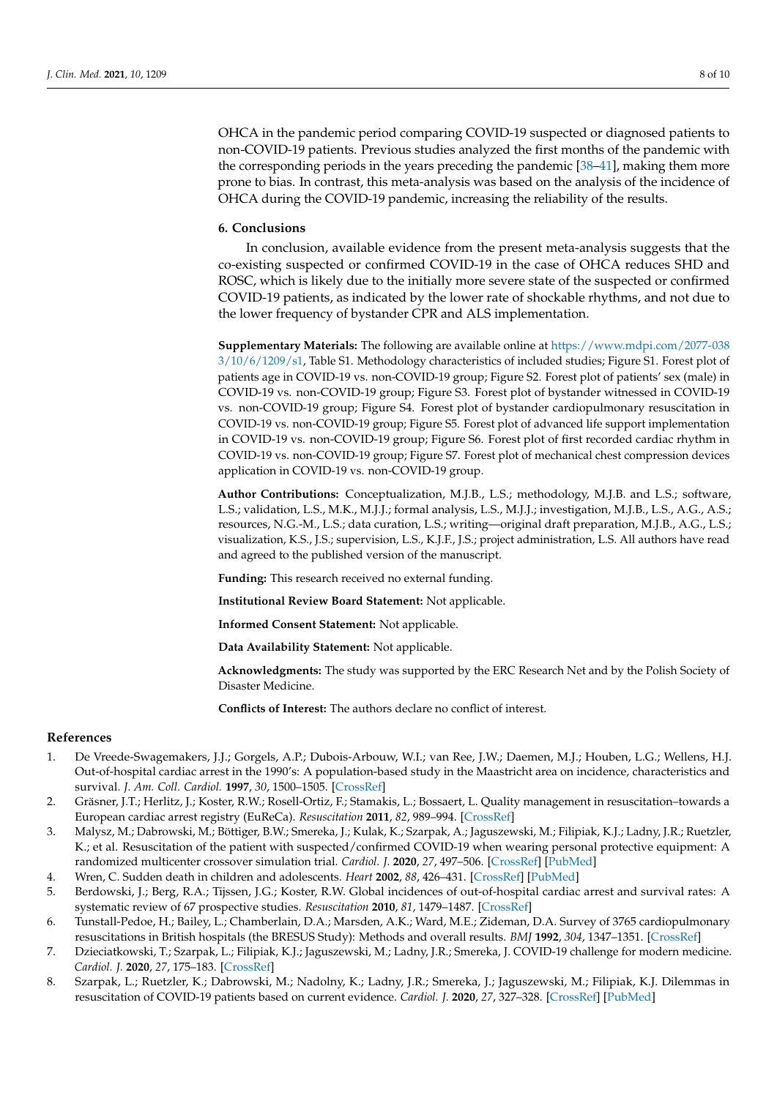OHCA in the pandemic period comparing COVID-19 suspected or diagnosed patients to non-COVID-19 patients. Previous studies analyzed the first months of the pandemic with the corresponding periods in the years preceding the pandemic [\[38–](#page-9-6)[41\]](#page-9-7), making them more prone to bias. In contrast, this meta-analysis was based on the analysis of the incidence of OHCA during the COVID-19 pandemic, increasing the reliability of the results.

#### **6. Conclusions**

In conclusion, available evidence from the present meta-analysis suggests that the co-existing suspected or confirmed COVID-19 in the case of OHCA reduces SHD and ROSC, which is likely due to the initially more severe state of the suspected or confirmed COVID-19 patients, as indicated by the lower rate of shockable rhythms, and not due to the lower frequency of bystander CPR and ALS implementation.

**Supplementary Materials:** The following are available online at [https://www.mdpi.com/2077-038](https://www.mdpi.com/2077-0383/10/6/1209/s1) [3/10/6/1209/s1,](https://www.mdpi.com/2077-0383/10/6/1209/s1) Table S1. Methodology characteristics of included studies; Figure S1. Forest plot of patients age in COVID-19 vs. non-COVID-19 group; Figure S2. Forest plot of patients' sex (male) in COVID-19 vs. non-COVID-19 group; Figure S3. Forest plot of bystander witnessed in COVID-19 vs. non-COVID-19 group; Figure S4. Forest plot of bystander cardiopulmonary resuscitation in COVID-19 vs. non-COVID-19 group; Figure S5. Forest plot of advanced life support implementation in COVID-19 vs. non-COVID-19 group; Figure S6. Forest plot of first recorded cardiac rhythm in COVID-19 vs. non-COVID-19 group; Figure S7. Forest plot of mechanical chest compression devices application in COVID-19 vs. non-COVID-19 group.

**Author Contributions:** Conceptualization, M.J.B., L.S.; methodology, M.J.B. and L.S.; software, L.S.; validation, L.S., M.K., M.J.J.; formal analysis, L.S., M.J.J.; investigation, M.J.B., L.S., A.G., A.S.; resources, N.G.-M., L.S.; data curation, L.S.; writing—original draft preparation, M.J.B., A.G., L.S.; visualization, K.S., J.S.; supervision, L.S., K.J.F., J.S.; project administration, L.S. All authors have read and agreed to the published version of the manuscript.

**Funding:** This research received no external funding.

**Institutional Review Board Statement:** Not applicable.

**Informed Consent Statement:** Not applicable.

**Data Availability Statement:** Not applicable.

**Acknowledgments:** The study was supported by the ERC Research Net and by the Polish Society of Disaster Medicine.

**Conflicts of Interest:** The authors declare no conflict of interest.

#### **References**

- <span id="page-7-0"></span>1. De Vreede-Swagemakers, J.J.; Gorgels, A.P.; Dubois-Arbouw, W.I.; van Ree, J.W.; Daemen, M.J.; Houben, L.G.; Wellens, H.J. Out-of-hospital cardiac arrest in the 1990's: A population-based study in the Maastricht area on incidence, characteristics and survival. *J. Am. Coll. Cardiol.* **1997**, *30*, 1500–1505. [\[CrossRef\]](http://doi.org/10.1016/S0735-1097(97)00355-0)
- <span id="page-7-1"></span>2. Gräsner, J.T.; Herlitz, J.; Koster, R.W.; Rosell-Ortiz, F.; Stamakis, L.; Bossaert, L. Quality management in resuscitation–towards a European cardiac arrest registry (EuReCa). *Resuscitation* **2011**, *82*, 989–994. [\[CrossRef\]](http://doi.org/10.1016/j.resuscitation.2011.02.047)
- 3. Malysz, M.; Dabrowski, M.; Böttiger, B.W.; Smereka, J.; Kulak, K.; Szarpak, A.; Jaguszewski, M.; Filipiak, K.J.; Ladny, J.R.; Ruetzler, K.; et al. Resuscitation of the patient with suspected/confirmed COVID-19 when wearing personal protective equipment: A randomized multicenter crossover simulation trial. *Cardiol. J.* **2020**, *27*, 497–506. [\[CrossRef\]](http://doi.org/10.5603/CJ.a2020.0068) [\[PubMed\]](http://www.ncbi.nlm.nih.gov/pubmed/32419128)
- 4. Wren, C. Sudden death in children and adolescents. *Heart* **2002**, *88*, 426–431. [\[CrossRef\]](http://doi.org/10.1136/heart.88.4.426) [\[PubMed\]](http://www.ncbi.nlm.nih.gov/pubmed/12231612)
- <span id="page-7-2"></span>5. Berdowski, J.; Berg, R.A.; Tijssen, J.G.; Koster, R.W. Global incidences of out-of-hospital cardiac arrest and survival rates: A systematic review of 67 prospective studies. *Resuscitation* **2010**, *81*, 1479–1487. [\[CrossRef\]](http://doi.org/10.1016/j.resuscitation.2010.08.006)
- <span id="page-7-3"></span>6. Tunstall-Pedoe, H.; Bailey, L.; Chamberlain, D.A.; Marsden, A.K.; Ward, M.E.; Zideman, D.A. Survey of 3765 cardiopulmonary resuscitations in British hospitals (the BRESUS Study): Methods and overall results. *BMJ* **1992**, *304*, 1347–1351. [\[CrossRef\]](http://doi.org/10.1136/bmj.304.6838.1347)
- <span id="page-7-4"></span>7. Dzieciatkowski, T.; Szarpak, L.; Filipiak, K.J.; Jaguszewski, M.; Ladny, J.R.; Smereka, J. COVID-19 challenge for modern medicine. *Cardiol. J.* **2020**, *27*, 175–183. [\[CrossRef\]](http://doi.org/10.5603/CJ.a2020.0055)
- <span id="page-7-5"></span>8. Szarpak, L.; Ruetzler, K.; Dabrowski, M.; Nadolny, K.; Ladny, J.R.; Smereka, J.; Jaguszewski, M.; Filipiak, K.J. Dilemmas in resuscitation of COVID-19 patients based on current evidence. *Cardiol. J.* **2020**, *27*, 327–328. [\[CrossRef\]](http://doi.org/10.5603/CJ.a2020.0066) [\[PubMed\]](http://www.ncbi.nlm.nih.gov/pubmed/32419130)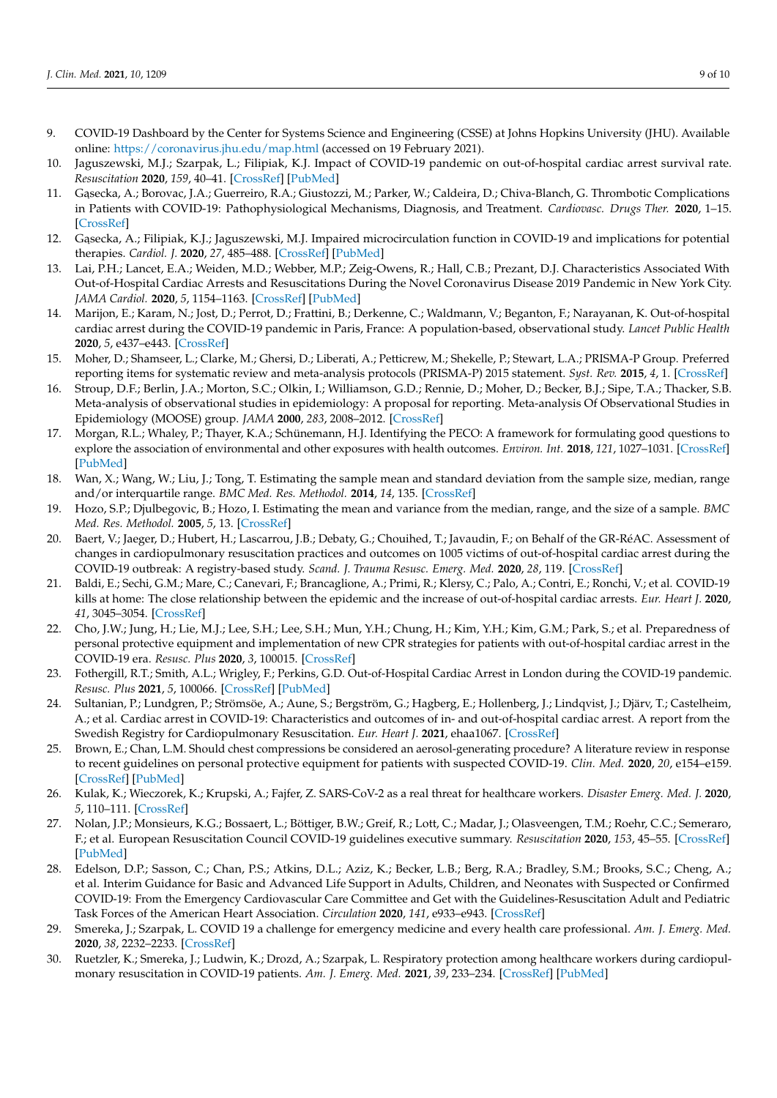- <span id="page-8-0"></span>9. COVID-19 Dashboard by the Center for Systems Science and Engineering (CSSE) at Johns Hopkins University (JHU). Available online: <https://coronavirus.jhu.edu/map.html> (accessed on 19 February 2021).
- <span id="page-8-1"></span>10. Jaguszewski, M.J.; Szarpak, L.; Filipiak, K.J. Impact of COVID-19 pandemic on out-of-hospital cardiac arrest survival rate. *Resuscitation* **2020**, *159*, 40–41. [\[CrossRef\]](http://doi.org/10.1016/j.resuscitation.2020.12.013) [\[PubMed\]](http://www.ncbi.nlm.nih.gov/pubmed/33383099)
- <span id="page-8-10"></span>11. Gasecka, A.; Borovac, J.A.; Guerreiro, R.A.; Giustozzi, M.; Parker, W.; Caldeira, D.; Chiva-Blanch, G. Thrombotic Complications in Patients with COVID-19: Pathophysiological Mechanisms, Diagnosis, and Treatment. *Cardiovasc. Drugs Ther.* **2020**, 1–15. [\[CrossRef\]](http://doi.org/10.1007/s10557-020-07084-9)
- <span id="page-8-2"></span>12. Gasecka, A.; Filipiak, K.J.; Jaguszewski, M.J. Impaired microcirculation function in COVID-19 and implications for potential therapies. *Cardiol. J.* **2020**, *27*, 485–488. [\[CrossRef\]](http://doi.org/10.5603/CJ.2020.0154) [\[PubMed\]](http://www.ncbi.nlm.nih.gov/pubmed/33165898)
- <span id="page-8-11"></span><span id="page-8-3"></span>13. Lai, P.H.; Lancet, E.A.; Weiden, M.D.; Webber, M.P.; Zeig-Owens, R.; Hall, C.B.; Prezant, D.J. Characteristics Associated With Out-of-Hospital Cardiac Arrests and Resuscitations During the Novel Coronavirus Disease 2019 Pandemic in New York City. *JAMA Cardiol.* **2020**, *5*, 1154–1163. [\[CrossRef\]](http://doi.org/10.1001/jamacardio.2020.2488) [\[PubMed\]](http://www.ncbi.nlm.nih.gov/pubmed/32558876)
- <span id="page-8-12"></span><span id="page-8-4"></span>14. Marijon, E.; Karam, N.; Jost, D.; Perrot, D.; Frattini, B.; Derkenne, C.; Waldmann, V.; Beganton, F.; Narayanan, K. Out-of-hospital cardiac arrest during the COVID-19 pandemic in Paris, France: A population-based, observational study. *Lancet Public Health* **2020**, *5*, e437–e443. [\[CrossRef\]](http://doi.org/10.1016/S2468-2667(20)30117-1)
- <span id="page-8-13"></span><span id="page-8-5"></span>15. Moher, D.; Shamseer, L.; Clarke, M.; Ghersi, D.; Liberati, A.; Petticrew, M.; Shekelle, P.; Stewart, L.A.; PRISMA-P Group. Preferred reporting items for systematic review and meta-analysis protocols (PRISMA-P) 2015 statement. *Syst. Rev.* **2015**, *4*, 1. [\[CrossRef\]](http://doi.org/10.1186/2046-4053-4-1)
- <span id="page-8-14"></span><span id="page-8-6"></span>16. Stroup, D.F.; Berlin, J.A.; Morton, S.C.; Olkin, I.; Williamson, G.D.; Rennie, D.; Moher, D.; Becker, B.J.; Sipe, T.A.; Thacker, S.B. Meta-analysis of observational studies in epidemiology: A proposal for reporting. Meta-analysis Of Observational Studies in Epidemiology (MOOSE) group. *JAMA* **2000**, *283*, 2008–2012. [\[CrossRef\]](http://doi.org/10.1001/jama.283.15.2008)
- <span id="page-8-7"></span>17. Morgan, R.L.; Whaley, P.; Thayer, K.A.; Schünemann, H.J. Identifying the PECO: A framework for formulating good questions to explore the association of environmental and other exposures with health outcomes. *Environ. Int.* **2018**, *121*, 1027–1031. [\[CrossRef\]](http://doi.org/10.1016/j.envint.2018.07.015) [\[PubMed\]](http://www.ncbi.nlm.nih.gov/pubmed/30166065)
- <span id="page-8-8"></span>18. Wan, X.; Wang, W.; Liu, J.; Tong, T. Estimating the sample mean and standard deviation from the sample size, median, range and/or interquartile range. *BMC Med. Res. Methodol.* **2014**, *14*, 135. [\[CrossRef\]](http://doi.org/10.1186/1471-2288-14-135)
- <span id="page-8-9"></span>19. Hozo, S.P.; Djulbegovic, B.; Hozo, I. Estimating the mean and variance from the median, range, and the size of a sample. *BMC Med. Res. Methodol.* **2005**, *5*, 13. [\[CrossRef\]](http://doi.org/10.1186/1471-2288-5-13)
- <span id="page-8-15"></span>20. Baert, V.; Jaeger, D.; Hubert, H.; Lascarrou, J.B.; Debaty, G.; Chouihed, T.; Javaudin, F.; on Behalf of the GR-RéAC. Assessment of changes in cardiopulmonary resuscitation practices and outcomes on 1005 victims of out-of-hospital cardiac arrest during the COVID-19 outbreak: A registry-based study. *Scand. J. Trauma Resusc. Emerg. Med.* **2020**, *28*, 119. [\[CrossRef\]](http://doi.org/10.1186/s13049-020-00813-x)
- <span id="page-8-17"></span>21. Baldi, E.; Sechi, G.M.; Mare, C.; Canevari, F.; Brancaglione, A.; Primi, R.; Klersy, C.; Palo, A.; Contri, E.; Ronchi, V.; et al. COVID-19 kills at home: The close relationship between the epidemic and the increase of out-of-hospital cardiac arrests. *Eur. Heart J.* **2020**, *41*, 3045–3054. [\[CrossRef\]](http://doi.org/10.1093/eurheartj/ehaa508)
- <span id="page-8-18"></span>22. Cho, J.W.; Jung, H.; Lie, M.J.; Lee, S.H.; Lee, S.H.; Mun, Y.H.; Chung, H.; Kim, Y.H.; Kim, G.M.; Park, S.; et al. Preparedness of personal protective equipment and implementation of new CPR strategies for patients with out-of-hospital cardiac arrest in the COVID-19 era. *Resusc. Plus* **2020**, *3*, 100015. [\[CrossRef\]](http://doi.org/10.1016/j.resplu.2020.100015)
- <span id="page-8-19"></span>23. Fothergill, R.T.; Smith, A.L.; Wrigley, F.; Perkins, G.D. Out-of-Hospital Cardiac Arrest in London during the COVID-19 pandemic. *Resusc. Plus* **2021**, *5*, 100066. [\[CrossRef\]](http://doi.org/10.1016/j.resplu.2020.100066) [\[PubMed\]](http://www.ncbi.nlm.nih.gov/pubmed/33521706)
- <span id="page-8-16"></span>24. Sultanian, P.; Lundgren, P.; Strömsöe, A.; Aune, S.; Bergström, G.; Hagberg, E.; Hollenberg, J.; Lindqvist, J.; Djärv, T.; Castelheim, A.; et al. Cardiac arrest in COVID-19: Characteristics and outcomes of in- and out-of-hospital cardiac arrest. A report from the Swedish Registry for Cardiopulmonary Resuscitation. *Eur. Heart J.* **2021**, ehaa1067. [\[CrossRef\]](http://doi.org/10.1093/eurheartj/ehaa1067)
- <span id="page-8-20"></span>25. Brown, E.; Chan, L.M. Should chest compressions be considered an aerosol-generating procedure? A literature review in response to recent guidelines on personal protective equipment for patients with suspected COVID-19. *Clin. Med.* **2020**, *20*, e154–e159. [\[CrossRef\]](http://doi.org/10.7861/clinmed.2020-0258) [\[PubMed\]](http://www.ncbi.nlm.nih.gov/pubmed/32620591)
- <span id="page-8-21"></span>26. Kulak, K.; Wieczorek, K.; Krupski, A.; Fajfer, Z. SARS-CoV-2 as a real threat for healthcare workers. *Disaster Emerg. Med. J.* **2020**, *5*, 110–111. [\[CrossRef\]](http://doi.org/10.5603/DEMJ.a2020.0018)
- 27. Nolan, J.P.; Monsieurs, K.G.; Bossaert, L.; Böttiger, B.W.; Greif, R.; Lott, C.; Madar, J.; Olasveengen, T.M.; Roehr, C.C.; Semeraro, F.; et al. European Resuscitation Council COVID-19 guidelines executive summary. *Resuscitation* **2020**, *153*, 45–55. [\[CrossRef\]](http://doi.org/10.1016/j.resuscitation.2020.06.001) [\[PubMed\]](http://www.ncbi.nlm.nih.gov/pubmed/32525022)
- <span id="page-8-22"></span>28. Edelson, D.P.; Sasson, C.; Chan, P.S.; Atkins, D.L.; Aziz, K.; Becker, L.B.; Berg, R.A.; Bradley, S.M.; Brooks, S.C.; Cheng, A.; et al. Interim Guidance for Basic and Advanced Life Support in Adults, Children, and Neonates with Suspected or Confirmed COVID-19: From the Emergency Cardiovascular Care Committee and Get with the Guidelines-Resuscitation Adult and Pediatric Task Forces of the American Heart Association. *Circulation* **2020**, *141*, e933–e943. [\[CrossRef\]](http://doi.org/10.1161/CIRCULATIONAHA.120.047463)
- <span id="page-8-23"></span>29. Smereka, J.; Szarpak, L. COVID 19 a challenge for emergency medicine and every health care professional. *Am. J. Emerg. Med.* **2020**, *38*, 2232–2233. [\[CrossRef\]](http://doi.org/10.1016/j.ajem.2020.03.038)
- 30. Ruetzler, K.; Smereka, J.; Ludwin, K.; Drozd, A.; Szarpak, L. Respiratory protection among healthcare workers during cardiopulmonary resuscitation in COVID-19 patients. *Am. J. Emerg. Med.* **2021**, *39*, 233–234. [\[CrossRef\]](http://doi.org/10.1016/j.ajem.2020.05.014) [\[PubMed\]](http://www.ncbi.nlm.nih.gov/pubmed/32444293)